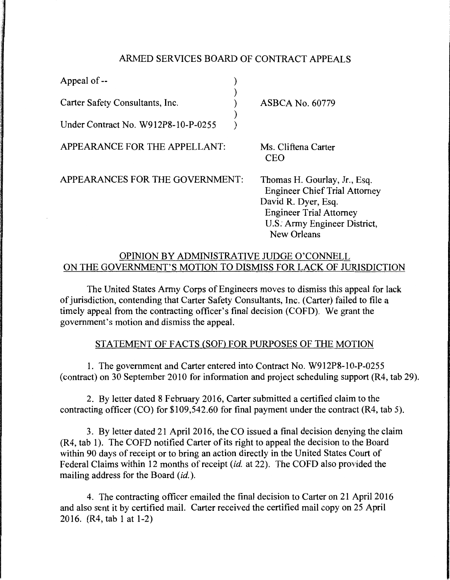# ARMED SERVICES BOARD OF CONTRACT APPEALS

) ) ) ) )

Appeal of--

Carter Safety Consultants, Inc.

Under Contract No. W912P8-10-P-0255

APPEARANCE FOR THE APPELLANT:

ASBCA No. 60779

Ms. Cliftena Carter CEO

APPEARANCES FOR THE GOVERNMENT:

Thomas H. Gourlay, Jr., Esq. Engineer Chief Trial Attorney David R. Dyer, Esq. Engineer Trial Attorney U.S: Army Engineer District, New Orleans

# OPINION BY ADMINISTRATIVE JUDGE O'CONNELL ON THE GOVERNMENT'S MOTION TO DISMISS FOR LACK OF JURISDICTION

The United States Army Corps of Engineers moves to dismiss this appeal for lack of jurisdiction, contending that Carter Safety Consultants, Inc. (Carter) failed to file a timely appeal from the contracting officer's final decision (COFD). We grant the government's motion and dismiss the appeal.

# STATEMENT OF FACTS (SOF) FOR PURPOSES OF THE MOTION

1. The government and Carter entered into Contract No. W912P8-10-P-0255 (contract) on 30 September 2010 for information and project scheduling support (R4, tab 29).

2. By letter dated 8 February 2016, Carter submitted a certified claim to the contracting officer (CO) for \$109,542.60 for final payment under the contract (R4, tab 5).

3. By letter dated 21 April 2016, the CO issued a final decision denying the claim (R4, tab 1). The COFD notified Carter of its right to appeal the decision to the Board within 90 days of receipt or to bring an action directly in the United States Court of Federal Claims within 12 months of receipt *(id.* at 22). The COFD also provided the mailing address for the Board *(id.).* 

4. The contracting officer emailed the final decision to Carter on 21 April 2016 and also sent it by certified mail. Carter received the certified mail copy on 25 April 2016. (R4, tab 1 at 1-2)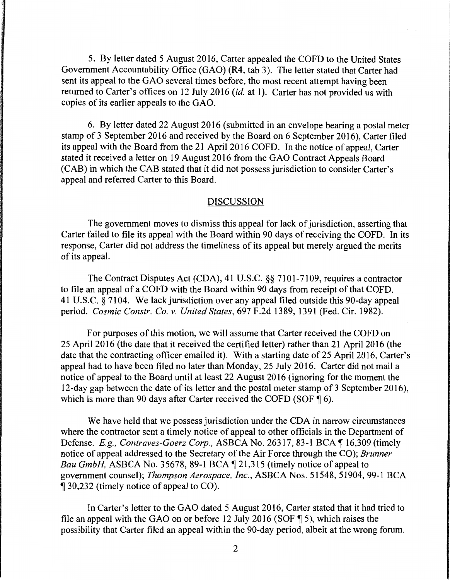5. By letter dated 5 August 2016, Carter appealed the COFD to the United States Government Accountability Office (GAO) (R4, tab 3). The letter stated that Carter had sent its appeal to the GAO several times before, the most recent attempt having been returned to Carter's offices on 12 July 2016 *(id.* at 1). Carter has not provided us with copies of its earlier appeals to the GAO.

6. By letter dated 22 August 2016 (submitted in an envelope bearing a postal meter stamp of 3 September 2016 and received by the Board on 6 September 2016), Carter filed its appeal with the Board from the 21April2016 COFD. In the notice of appeal, Carter stated it received a letter on 19 August 2016 from the GAO Contract Appeals Board (CAB) in which the CAB stated that it did not possess jurisdiction to consider Carter's appeal and referred Carter to this Board.

### DISCUSSION

The government moves to dismiss this appeal for lack of jurisdiction, asserting that Carter failed to file its appeal with the Board within 90 days of receiving the COFD. In its response, Carter did not address the timeliness of its appeal but merely argued the merits of its appeal.

The Contract Disputes Act (CDA), 41 U.S.C. §§ 7101-7109, requires a contractor to file an appeal of a COFD with the Board within 90 days from receipt of that COFD. 41 U.S.C. § 7104. We lack jurisdiction over any appeal filed outside this 90-day appeal period. *Cosmic Constr. Co.* v. *United States,* 697 F.2d 1389, 1391 (Fed. Cir. 1982).

For purposes of this motion, we will assume that Carter received the COFD on 25 April 2016 (the date that it received the certified letter) rather than 21 April 2016 (the date that the contracting officer emailed it). With a starting date of 25 April 2016, Carter's appeal had to have been filed no later than Monday, 25 July 2016. Carter did not mail a notice of appeal to the Board until at least 22 August 2016 (ignoring for the moment the 12-day gap between the date of its letter and the postal meter stamp of 3 September 2016 ), which is more than 90 days after Carter received the COFD (SOF  $\oint$  6).

We have held that we possess jurisdiction under the CDA in narrow circumstances where the contractor sent a timely notice of appeal to other officials in the Department of Defense. *E.g., Contraves-Goerz Corp., ASBCA No.* 26317, 83-1 BCA ¶ 16,309 (timely notice of appeal addressed to the Secretary of the Air Force through the CO); *Brunner Bau GmbH*, ASBCA No. 35678, 89-1 BCA 1 21,315 (timely notice of appeal to government counsel); *Thompson Aerospace, Inc.,* ASBCA Nos. 51548, 51904, 99-1 BCA  $\llbracket$  30,232 (timely notice of appeal to CO).

In Carter's letter to the GAO dated 5 August 2016, Carter stated that it had tried to file an appeal with the GAO on or before 12 July 2016 (SOF  $\parallel$  5), which raises the possibility that Carter filed an appeal within the 90-day period, albeit at the wrong forum.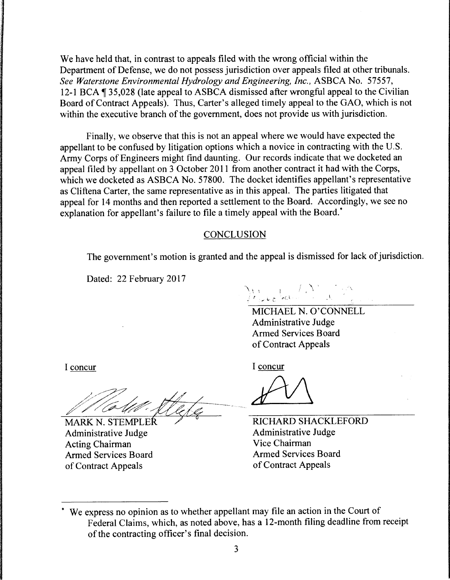We have held that, in contrast to appeals filed with the wrong official within the Department of Defense, we do not possess jurisdiction over appeals filed at other tribunals. *See Waterstone Environmental Hydrology and Engineering, Inc.,* ASBCA No. 57557, 12-1 BCA  $\P$  35,028 (late appeal to ASBCA dismissed after wrongful appeal to the Civilian Board of Contract Appeals). Thus, Carter's alleged timely appeal to the GAO, which is not within the executive branch of the government, does not provide us with jurisdiction.

Finally, we observe that this is not an appeal where we would have expected the appellant to be confused by litigation options which a novice in contracting with the U.S. Army Corps of Engineers might find daunting. Our records indicate that we docketed an appeal filed by appellant on 3 October 2011 from another contract it had with the Corps, which we docketed as ASBCA No. 57800. The docket identifies appellant's representative as Cliftena Carter, the same representative as in this appeal. The parties litigated that appeal for 14 months and then reported a settlement to the Board. Accordingly, we see no explanation for appellant's failure to file a timely appeal with the Board.<sup>\*</sup>

#### **CONCLUSION**

The government's motion is granted and the appeal is dismissed for lack of jurisdiction.

Dated: 22 February 2017

 $\bigcup_{i=1}^n \bigcup_{i=1}^n \bigcup_{j=1}^n \bigcup_{j=1}^n \bigcup_{j=1}^n \bigcup_{j=1}^n \bigcup_{j=1}^n \bigcup_{j=1}^n \bigcup_{j=1}^n \bigcup_{j=1}^n \bigcup_{j=1}^n \bigcup_{j=1}^n \bigcup_{j=1}^n \bigcup_{j=1}^n \bigcup_{j=1}^n \bigcup_{j=1}^n \bigcup_{j=1}^n \bigcup_{j=1}^n \bigcup_{j=1}^n \bigcup_{j=1}^n \bigcup_{j=1}^n \bigcup_{j=1}^n$ 

MICHAEL N. O'CONNELL Administrative Judge Armed Services Board of Contract Appeals

I concur

 $4<sup>+</sup>$ \_\_\_ \_

MARK N. STEMPLER  $\sqrt{6}$  RICHARD SHACKLEFORD

I concur

Mahr Stele 8

Administrative Judge Administrative Judge Acting Chairman<br>
Armed Services Board<br>
Armed Services Board<br>
Armed Services Board Armed Services Board of Contract Appeals of Contract Appeals

<sup>\*</sup> We express no opinion as to whether appellant may file an action in the Court of Federal Claims, which, as noted above, has a 12-month filing deadline from receipt of the contracting officer's final decision.